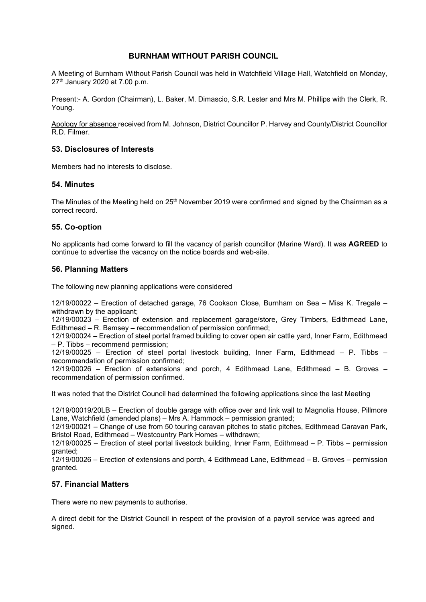### **BURNHAM WITHOUT PARISH COUNCIL**

A Meeting of Burnham Without Parish Council was held in Watchfield Village Hall, Watchfield on Monday, 27th January 2020 at 7.00 p.m.

Present:- A. Gordon (Chairman), L. Baker, M. Dimascio, S.R. Lester and Mrs M. Phillips with the Clerk, R. Young.

Apology for absence received from M. Johnson, District Councillor P. Harvey and County/District Councillor R.D. Filmer.

### **53. Disclosures of Interests**

Members had no interests to disclose.

### **54. Minutes**

The Minutes of the Meeting held on  $25<sup>th</sup>$  November 2019 were confirmed and signed by the Chairman as a correct record.

# **55. Co-option**

No applicants had come forward to fill the vacancy of parish councillor (Marine Ward). It was **AGREED** to continue to advertise the vacancy on the notice boards and web-site.

# **56. Planning Matters**

The following new planning applications were considered

12/19/00022 – Erection of detached garage, 76 Cookson Close, Burnham on Sea – Miss K. Tregale – withdrawn by the applicant;

12/19/00023 – Erection of extension and replacement garage/store, Grey Timbers, Edithmead Lane, Edithmead – R. Bamsey – recommendation of permission confirmed;

12/19/00024 – Erection of steel portal framed building to cover open air cattle yard, Inner Farm, Edithmead – P. Tibbs – recommend permission;

12/19/00025 – Erection of steel portal livestock building, Inner Farm, Edithmead – P. Tibbs – recommendation of permission confirmed;

12/19/00026 – Erection of extensions and porch, 4 Edithmead Lane, Edithmead – B. Groves – recommendation of permission confirmed.

It was noted that the District Council had determined the following applications since the last Meeting

12/19/00019/20LB – Erection of double garage with office over and link wall to Magnolia House, Pillmore Lane, Watchfield (amended plans) – Mrs A. Hammock – permission granted;

12/19/00021 – Change of use from 50 touring caravan pitches to static pitches, Edithmead Caravan Park, Bristol Road, Edithmead – Westcountry Park Homes – withdrawn;

12/19/00025 – Erection of steel portal livestock building, Inner Farm, Edithmead – P. Tibbs – permission granted;

12/19/00026 – Erection of extensions and porch, 4 Edithmead Lane, Edithmead – B. Groves – permission granted.

# **57. Financial Matters**

There were no new payments to authorise.

A direct debit for the District Council in respect of the provision of a payroll service was agreed and signed.